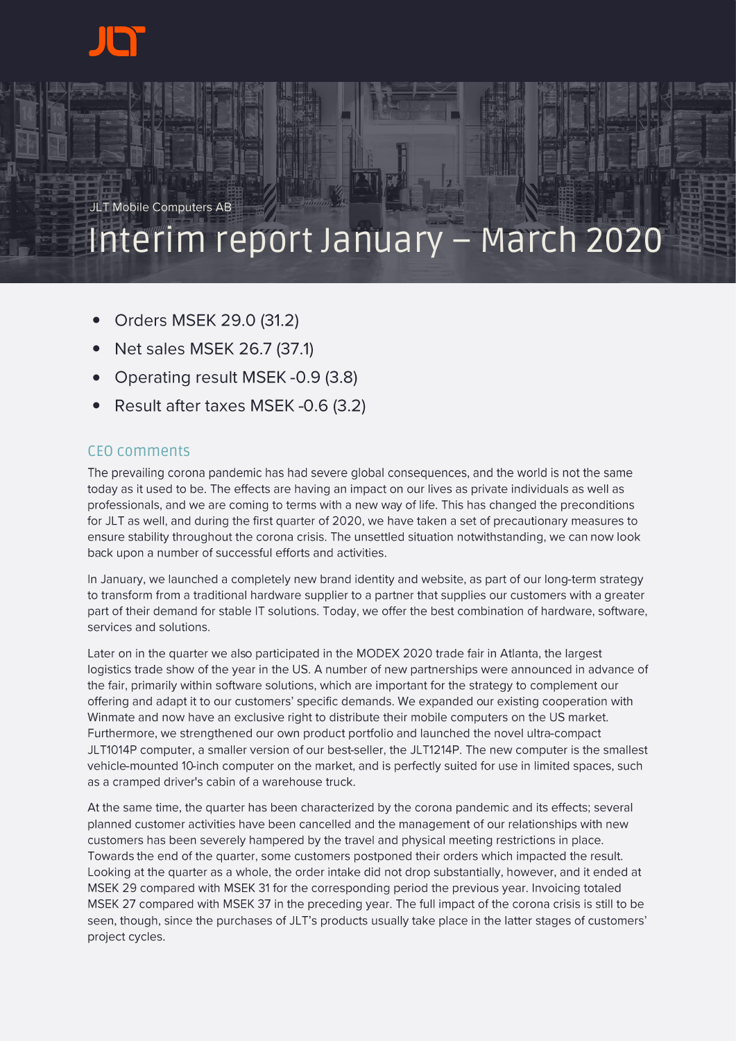

JLT Mobile Computers AB

# Interim report January – March 2020

- Orders MSEK 29.0 (31.2)
- Net sales MSEK 26.7 (37.1) •
- Operating result MSEK - 0.9 (3.8)
- Result after taxes MSEK-0.6 (3.2)

## CEO comments

The prevailing corona pandemic has had severe global consequences, and the world is not the same today as it used to be. The effects are having an impact on our lives as private individuals as well as professionals, and we are coming to terms with a new way of life. This has changed the preconditions for JLT as well, and during the first quarter of 2020, we have taken a set of precautionary measures to ensure stability throughout the corona crisis. The unsettled situation notwithstanding, we can now look back upon a number of successful efforts and activities.

In January, we launched a completely new brand identity and website, as part of our long-term strategy to transform from a traditional hardware supplier to a partner that supplies our customers with a greater part of their demand for stable IT solutions. Today, we offer the best combination of hardware, software, services and solutions.

Later on in the quarter we also participated in the MODEX 2020 trade fair in Atlanta, the largest logistics trade show of the year in the US. A number of new partnerships were announced in advance of the fair, primarily within software solutions, which are important for the strategy to complement our offering and adapt it to our customers' specific demands. We expanded our existing cooperation with Winmate and now have an exclusive right to distribute their mobile computers on the US market. Furthermore, we strengthened our own product portfolio and launched the novel ultra-compact JLT1014P computer, a smaller version of our best-seller, the JLT1214P. The new computer is the smallest vehicle-mounted 10-inch computer on the market, and is perfectly suited for use in limited spaces, such as a cramped driver's cabin of a warehouse truck.

At the same time, the quarter has been characterized by the corona pandemic and its effects; several planned customer activities have been cancelled and the management of our relationships with new customers has been severely hampered by the travel and physical meeting restrictions in place. Towards the end of the quarter, some customers postponed their orders which impacted the result. Looking at the quarter as a whole, the order intake did not drop substantially, however, and it ended at MSEK 29 compared with MSEK 31 for the corresponding period the previous year. Invoicing totaled MSEK 27 compared with MSEK 37 in the preceding year. The full impact of the corona crisis is still to be seen, though, since the purchases of JLT's products usually take place in the latter stages of customers' project cycles.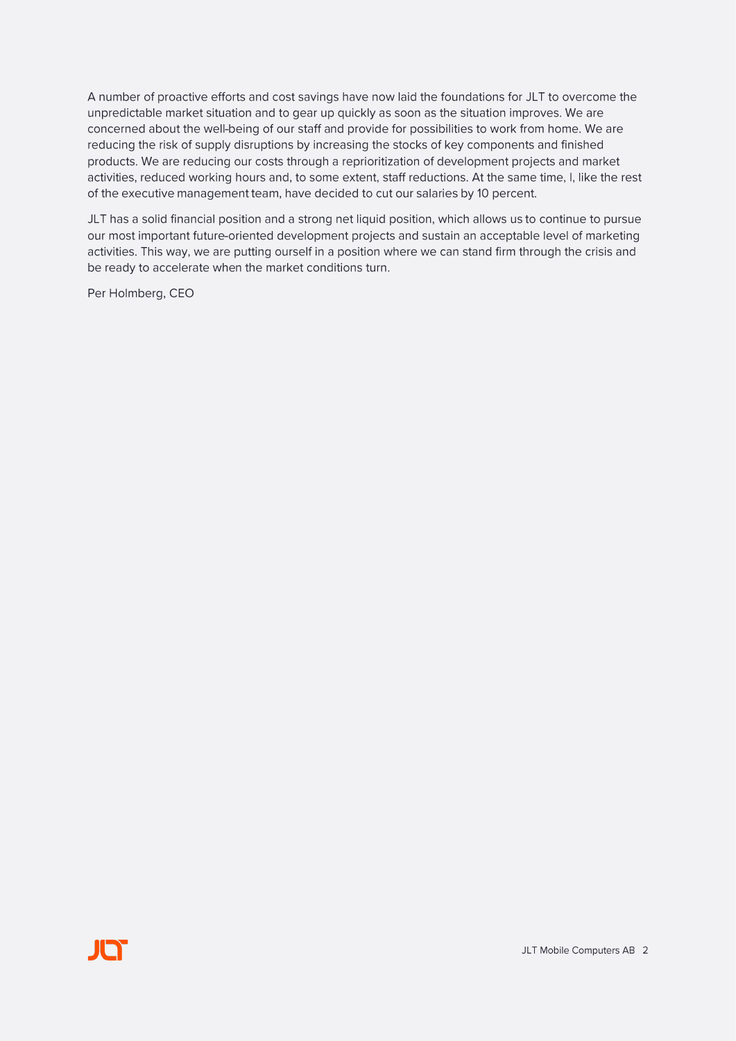A number of proactive efforts and cost savings have now laid the foundations for JLT to overcome the unpredictable market situation and to gear up quickly as soon as the situation improves. We are concerned about the well-being of our staff and provide for possibilities to work from home. We are reducing the risk of supply disruptions by increasing the stocks of key components and finished products. We are reducing our costs through a reprioritization of development projects and market activities, reduced working hours and, to some extent, staff reductions. At the same time, I, like the rest of the executive management team, have decided to cut our salaries by 10 percent.

JLT has a solid financial position and a strong net liquid position, which allows us to continue to pursue our most important future-oriented development projects and sustain an acceptable level of marketing activities. This way, we are putting ourself in a position where we can stand firm through the crisis and be ready to accelerate when the market conditions turn.

Per Holmberg, CEO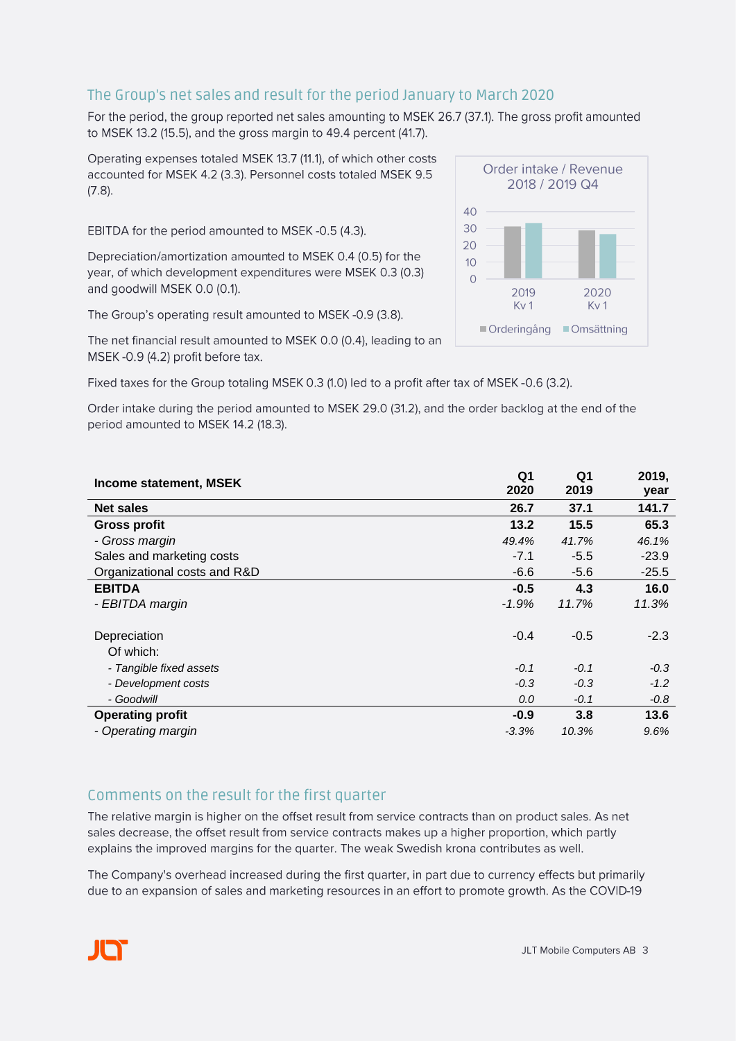## The Group's net sales and result for the period January to March 2020

For the period, the group reported net sales amounting to MSEK 26.7 (37.1). The gross profit amounted to MSEK 13.2 (15.5), and the gross margin to 49.4 percent (41.7).

Operating expenses totaled MSEK 13.7 (11.1), of which other costs accounted for MSEK 4.2 (3.3). Personnel costs totaled MSEK 9.5  $(7.8)$ .

EBITDA for the period amounted to MSEK-0.5 (4.3).

Depreciation/amortization amounted to MSEK 0.4 (0.5) for the year, of which development expenditures were MSEK 0.3 (0.3) and goodwill MSEK 0.0 (0.1).

The Group's operating result amounted to MSEK-0.9 (3.8).

The net financial result amounted to MSEK 0.0 (0.4), leading to an MSEK-0.9 (4.2) profit before tax.

Fixed taxes for the Group totaling MSEK 0.3 (1.0) led to a profit after tax of MSEK -0.6 (3.2).

Order intake during the period amounted to MSEK 29.0 (31.2), and the order backlog at the end of the period amounted to MSEK 14.2 (18.3).

| Income statement, MSEK       | Q1<br>2020 | Q1<br>2019 | 2019,<br>year |
|------------------------------|------------|------------|---------------|
| <b>Net sales</b>             | 26.7       | 37.1       | 141.7         |
| <b>Gross profit</b>          | 13.2       | 15.5       | 65.3          |
| - Gross margin               | 49.4%      | 41.7%      | 46.1%         |
| Sales and marketing costs    | $-7.1$     | $-5.5$     | $-23.9$       |
| Organizational costs and R&D | $-6.6$     | $-5.6$     | $-25.5$       |
| <b>EBITDA</b>                | $-0.5$     | 4.3        | 16.0          |
| - EBITDA margin              | $-1.9%$    | 11.7%      | 11.3%         |
| Depreciation<br>Of which:    | $-0.4$     | $-0.5$     | $-2.3$        |
| - Tangible fixed assets      | $-0.1$     | $-0.1$     | $-0.3$        |
| - Development costs          | $-0.3$     | $-0.3$     | $-1.2$        |
| - Goodwill                   | 0.0        | $-0.1$     | $-0.8$        |
| <b>Operating profit</b>      | $-0.9$     | 3.8        | 13.6          |
| - Operating margin           | $-3.3%$    | 10.3%      | 9.6%          |

#### Comments on the result for the first quarter

The relative margin is higher on the offset result from service contracts than on product sales. As net sales decrease, the offset result from service contracts makes up a higher proportion, which partly explains the improved margins for the quarter. The weak Swedish krona contributes as well.

The Company's overhead increased during the first quarter, in part due to currency effects but primarily due to an expansion of sales and marketing resources in an effort to promote growth. As the COVID-19

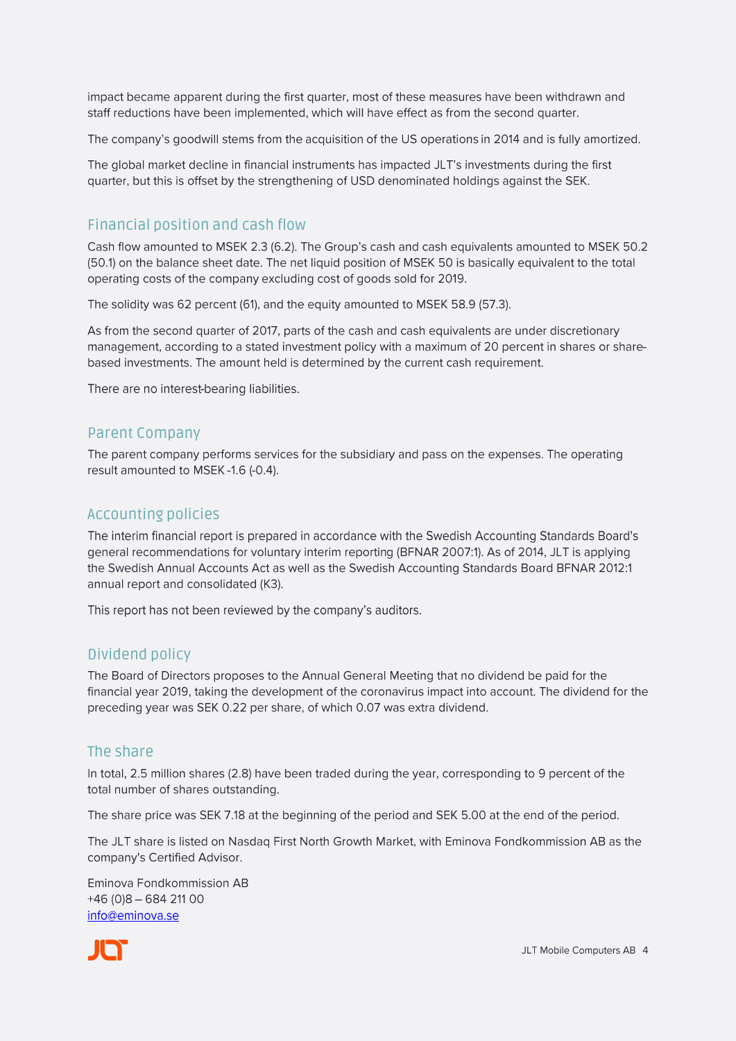impact became apparent during the first quarter, most of these measures have been withdrawn and staff reductions have been implemented, which will have effect as from the second quarter.

The company's goodwill stems from the acquisition of the US operations in 2014 and is fully amortized.

The global market decline in financial instruments has impacted JLT's investments during the first quarter, but this is offset by the strengthening of USD denominated holdings against the SEK.

## Financial position and cash flow

Cash flow amounted to MSEK 2.3 (6.2). The Group's cash and cash equivalents amounted to MSEK 50.2 (50.1) on the balance sheet date. The net liquid position of MSEK 50 is basically equivalent to the total operating costs of the company excluding cost of goods sold for 2019.

The solidity was 62 percent (61), and the equity amounted to MSEK 58.9 (57.3).

As from the second quarter of 2017, parts of the cash and cash equivalents are under discretionary management, according to a stated investment policy with a maximum of 20 percent in shares or sharebased investments. The amount held is determined by the current cash requirement.

There are no interest-bearing liabilities.

#### **Parent Company**

The parent company performs services for the subsidiary and pass on the expenses. The operating result amounted to MSEK-1.6 (-0.4).

#### **Accounting policies**

The interim financial report is prepared in accordance with the Swedish Accounting Standards Board's general recommendations for voluntary interim reporting (BFNAR 2007:1). As of 2014, JLT is applying the Swedish Annual Accounts Act as well as the Swedish Accounting Standards Board BFNAR 2012:1 annual report and consolidated (K3).

This report has not been reviewed by the company's auditors.

#### Dividend policy

The Board of Directors proposes to the Annual General Meeting that no dividend be paid for the financial year 2019, taking the development of the coronavirus impact into account. The dividend for the preceding year was SEK 0.22 per share, of which 0.07 was extra dividend.

#### The share

In total, 2.5 million shares (2.8) have been traded during the year, corresponding to 9 percent of the total number of shares outstanding.

The share price was SEK 7.18 at the beginning of the period and SEK 5.00 at the end of the period.

The JLT share is listed on Nasdaq First North Growth Market, with Eminova Fondkommission AB as the company's Certified Advisor.

Eminova Fondkommission AB  $+46(0)8 - 68421100$ info@eminova.se

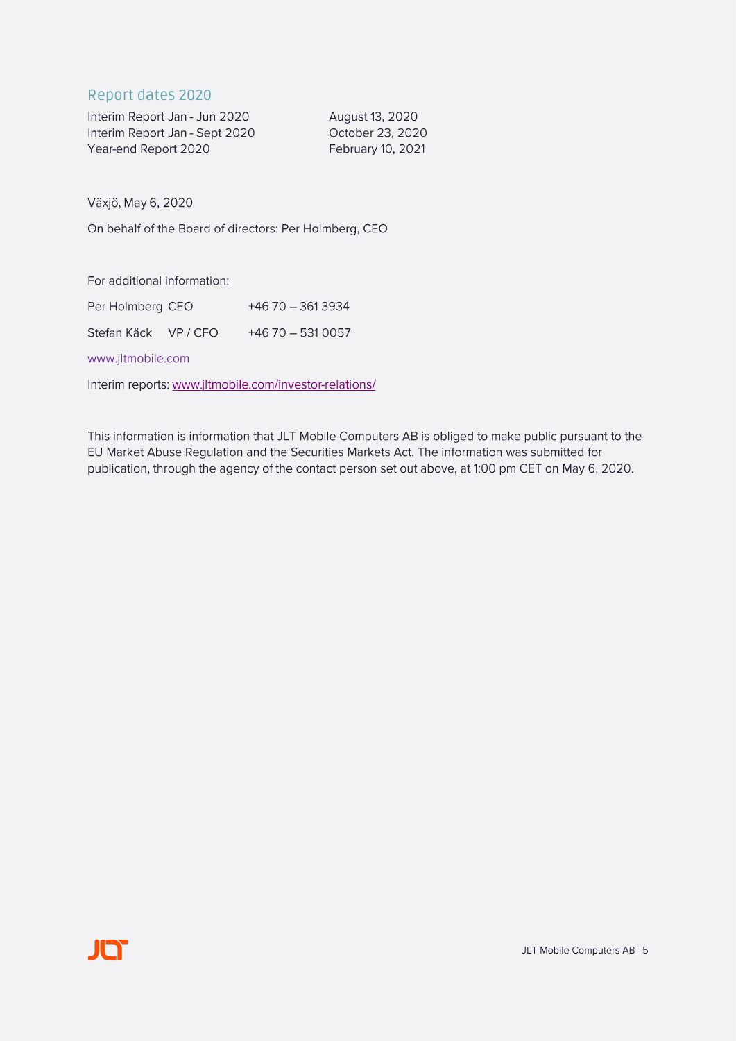### Report dates 2020

| Interim Report Jan - Jun 2020  | August 13, 2020          |
|--------------------------------|--------------------------|
| Interim Report Jan - Sept 2020 | October 23, 2020         |
| Year-end Report 2020           | <b>February 10, 2021</b> |

Växjö, May 6, 2020

On behalf of the Board of directors: Per Holmberg, CEO

For additional information:

| Per Holmberg CEO   | +46 70 - 361 3934    |
|--------------------|----------------------|
| Stefan Käck VP/CFO | $+46$ 70 $-531$ 0057 |

www.jltmobile.com

Interim reports: www.jltmobile.com/investor-relations/

This information is information that JLT Mobile Computers AB is obliged to make public pursuant to the EU Market Abuse Regulation and the Securities Markets Act. The information was submitted for publication, through the agency of the contact person set out above, at 1:00 pm CET on May 6, 2020.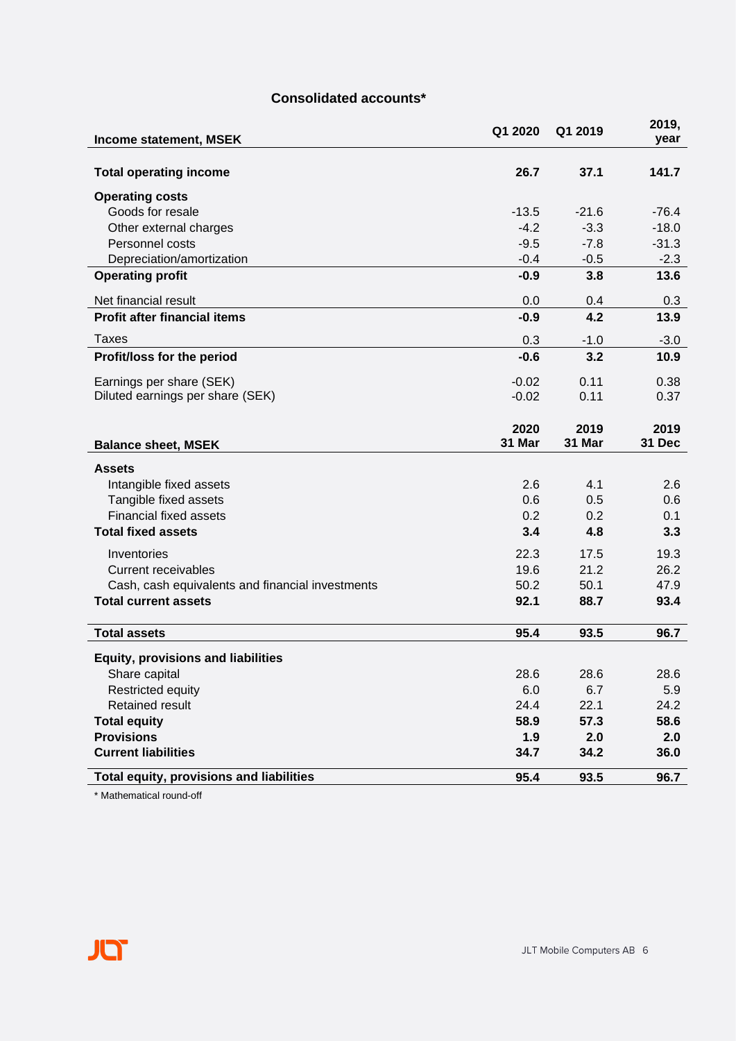#### **Consolidated accounts\***

| Income statement, MSEK                           | Q1 2020 | Q1 2019 | 2019,<br>year |
|--------------------------------------------------|---------|---------|---------------|
| <b>Total operating income</b>                    | 26.7    | 37.1    | 141.7         |
| <b>Operating costs</b>                           |         |         |               |
| Goods for resale                                 | $-13.5$ | $-21.6$ | $-76.4$       |
| Other external charges                           | $-4.2$  | $-3.3$  | $-18.0$       |
| Personnel costs                                  | $-9.5$  | $-7.8$  | $-31.3$       |
| Depreciation/amortization                        | $-0.4$  | $-0.5$  | $-2.3$        |
| <b>Operating profit</b>                          | $-0.9$  | 3.8     | 13.6          |
| Net financial result                             | 0.0     | 0.4     | 0.3           |
| <b>Profit after financial items</b>              | $-0.9$  | 4.2     | 13.9          |
| Taxes                                            | 0.3     | $-1.0$  | $-3.0$        |
| Profit/loss for the period                       | $-0.6$  | 3.2     | 10.9          |
| Earnings per share (SEK)                         | $-0.02$ | 0.11    | 0.38          |
| Diluted earnings per share (SEK)                 | $-0.02$ | 0.11    | 0.37          |
|                                                  | 2020    | 2019    | 2019          |
| <b>Balance sheet, MSEK</b>                       | 31 Mar  | 31 Mar  | 31 Dec        |
| <b>Assets</b>                                    |         |         |               |
| Intangible fixed assets                          | 2.6     | 4.1     | 2.6           |
| Tangible fixed assets                            | 0.6     | 0.5     | 0.6           |
| <b>Financial fixed assets</b>                    | 0.2     | 0.2     | 0.1           |
| <b>Total fixed assets</b>                        | 3.4     | 4.8     | 3.3           |
| Inventories                                      | 22.3    | 17.5    | 19.3          |
| <b>Current receivables</b>                       | 19.6    | 21.2    | 26.2          |
| Cash, cash equivalents and financial investments | 50.2    | 50.1    | 47.9          |
| <b>Total current assets</b>                      | 92.1    | 88.7    | 93.4          |
| <b>Total assets</b>                              | 95.4    | 93.5    | 96.7          |
| <b>Equity, provisions and liabilities</b>        |         |         |               |
| Share capital                                    | 28.6    | 28.6    | 28.6          |
| Restricted equity                                | 6.0     | 6.7     | 5.9           |
| <b>Retained result</b>                           | 24.4    | 22.1    | 24.2          |
| <b>Total equity</b>                              | 58.9    | 57.3    | 58.6          |
| <b>Provisions</b>                                | 1.9     | 2.0     | 2.0           |
| <b>Current liabilities</b>                       | 34.7    | 34.2    | 36.0          |
| Total equity, provisions and liabilities         | 95.4    | 93.5    | 96.7          |

\* Mathematical round-off